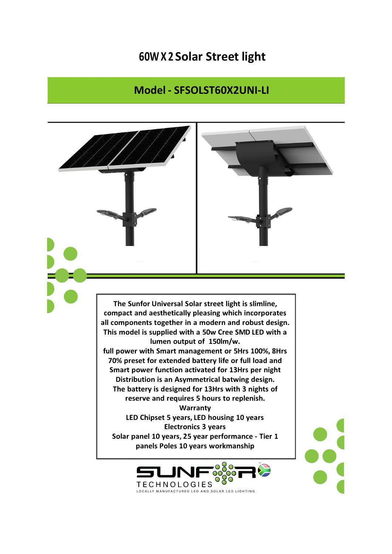## **60W X 2 Solar Street light**

## **Model - SFSOLST60X2UNI-LI**



**TECHNOLOGIES TECHNOLOGIES** <sup>O</sup>